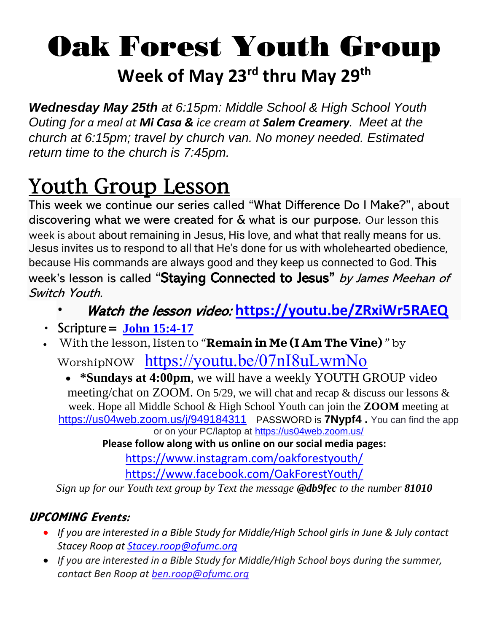## Oak Forest Youth Group **Week of May 23rd thru May 29th**

*Wednesday May 25th at 6:15pm: Middle School & High School Youth Outing for a meal at Mi Casa & ice cream at Salem Creamery. Meet at the church at 6:15pm; travel by church van. No money needed. Estimated return time to the church is 7:45pm.* 

## Youth Group Lesson

This week we continue our series called "What Difference Do I Make?", about discovering what we were created for & what is our purpose. Our lesson this week is about about remaining in Jesus, His love, and what that really means for us. Jesus invites us to respond to all that He's done for us with wholehearted obedience, because His commands are always good and they keep us connected to God. This week's lesson is called "Staying Connected to Jesus" by James Meehan of Switch Youth.

- Watch the lesson video: **<https://youtu.be/ZRxiWr5RAEQ>**
- $\cdot$  Scripture = **[John 15:4-17](https://www.biblegateway.com/passage/?search=john+15%3A4-17&version=ICB)**
- With the lesson, listen to "**Remain in Me (I Am The Vine)** " by WorshipNOW <https://youtu.be/07nI8uLwmNo>

• **\*Sundays at 4:00pm**, we will have a weekly YOUTH GROUP video meeting/chat on ZOOM. On 5/29, we will chat and recap & discuss our lessons & week. Hope all Middle School & High School Youth can join the **ZOOM** meeting at <https://us04web.zoom.us/j/949184311> PASSWORD is **7Nypf4 .** *You can find the app or on your PC/laptop at<https://us04web.zoom.us/>*

**Please follow along with us online on our social media pages:**

<https://www.instagram.com/oakforestyouth/>

<https://www.facebook.com/OakForestYouth/>

*Sign up for our Youth text group by Text the message @db9fec to the number 81010*

## **UPCOMING Events:**

- *If you are interested in a Bible Study for Middle/High School girls in June & July contact Stacey Roop at [Stacey.roop@ofumc.org](mailto:Stacey.roop@ofumc.org)*
- *If you are interested in a Bible Study for Middle/High School boys during the summer, contact Ben Roop at [ben.roop@ofumc.org](mailto:ben.roop@ofumc.org)*